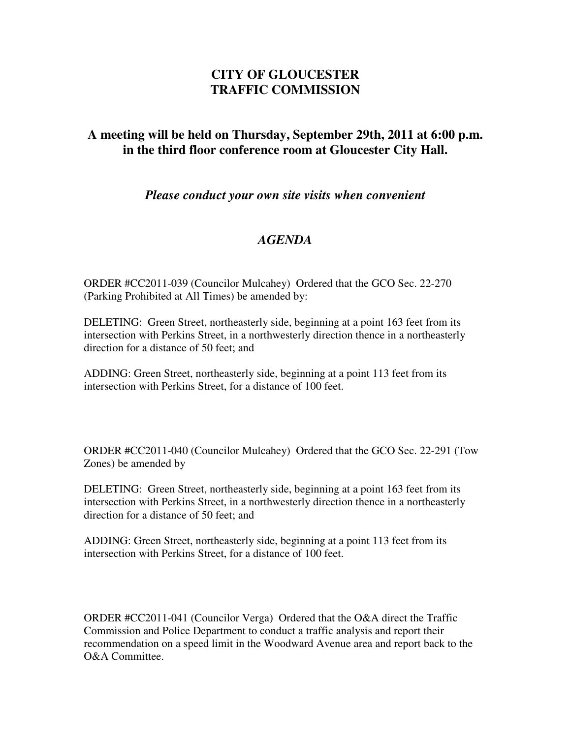## **CITY OF GLOUCESTER TRAFFIC COMMISSION**

## **A meeting will be held on Thursday, September 29th, 2011 at 6:00 p.m. in the third floor conference room at Gloucester City Hall.**

*Please conduct your own site visits when convenient*

## *AGENDA*

ORDER #CC2011-039 (Councilor Mulcahey) Ordered that the GCO Sec. 22-270 (Parking Prohibited at All Times) be amended by:

DELETING: Green Street, northeasterly side, beginning at a point 163 feet from its intersection with Perkins Street, in a northwesterly direction thence in a northeasterly direction for a distance of 50 feet; and

ADDING: Green Street, northeasterly side, beginning at a point 113 feet from its intersection with Perkins Street, for a distance of 100 feet.

ORDER #CC2011-040 (Councilor Mulcahey) Ordered that the GCO Sec. 22-291 (Tow Zones) be amended by

DELETING: Green Street, northeasterly side, beginning at a point 163 feet from its intersection with Perkins Street, in a northwesterly direction thence in a northeasterly direction for a distance of 50 feet; and

ADDING: Green Street, northeasterly side, beginning at a point 113 feet from its intersection with Perkins Street, for a distance of 100 feet.

ORDER #CC2011-041 (Councilor Verga) Ordered that the O&A direct the Traffic Commission and Police Department to conduct a traffic analysis and report their recommendation on a speed limit in the Woodward Avenue area and report back to the O&A Committee.